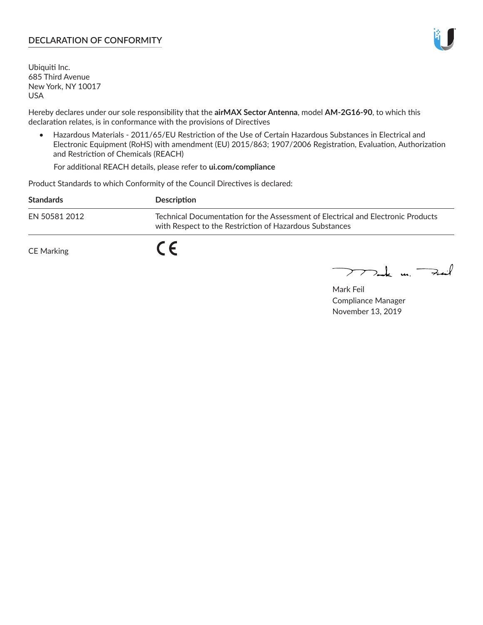#### **DECLARATION OF CONFORMITY**

Ubiquiti Inc. 685 Third Avenue New York, NY 10017 USA

Hereby declares under our sole responsibility that the **airMAX Sector Antenna**, model **AM-2G16-90**, to which this declaration relates, is in conformance with the provisions of Directives

• Hazardous Materials - 2011/65/EU Restriction of the Use of Certain Hazardous Substances in Electrical and Electronic Equipment (RoHS) with amendment (EU) 2015/863; 1907/2006 Registration, Evaluation, Authorization and Restriction of Chemicals (REACH)

For additional REACH details, please refer to **ui.com/compliance**

Product Standards to which Conformity of the Council Directives is declared:

| <b>Standards</b> | <b>Description</b>                                                                                                                          |
|------------------|---------------------------------------------------------------------------------------------------------------------------------------------|
| EN 50581 2012    | Technical Documentation for the Assessment of Electrical and Electronic Products<br>with Respect to the Restriction of Hazardous Substances |
| CE Marking       |                                                                                                                                             |

 $\sum_{n=1}^{\infty}$  un  $\sum_{n=1}^{\infty}$ 

Mark Feil Compliance Manager November 13, 2019

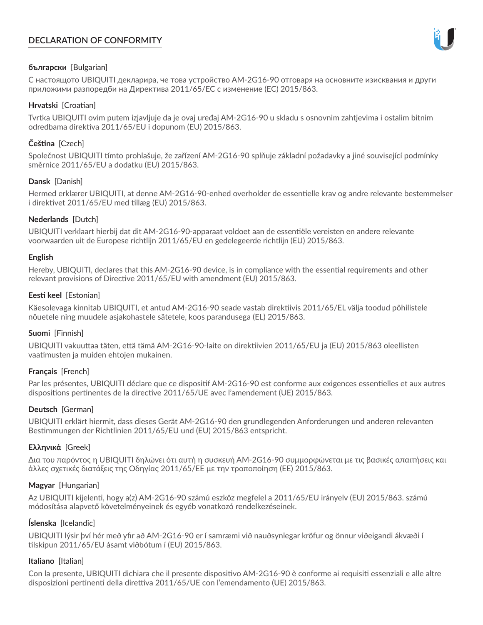# **DECLARATION OF CONFORMITY**



# **български** [Bulgarian]

С настоящото UBIQUITI декларира, че това устройство AM-2G16-90 отговаря на основните изисквания и други приложими разпоредби на Директива 2011/65/ЕС с изменение (ЕС) 2015/863.

# **Hrvatski** [Croatian]

Tvrtka UBIQUITI ovim putem izjavljuje da je ovaj uređaj AM-2G16-90 u skladu s osnovnim zahtjevima i ostalim bitnim odredbama direktiva 2011/65/EU i dopunom (EU) 2015/863.

# **Čeština** [Czech]

Společnost UBIQUITI tímto prohlašuje, že zařízení AM-2G16-90 splňuje základní požadavky a jiné související podmínky směrnice 2011/65/EU a dodatku (EU) 2015/863.

# **Dansk** [Danish]

Hermed erklærer UBIQUITI, at denne AM-2G16-90-enhed overholder de essentielle krav og andre relevante bestemmelser i direktivet 2011/65/EU med tillæg (EU) 2015/863.

# **Nederlands** [Dutch]

UBIQUITI verklaart hierbij dat dit AM-2G16-90-apparaat voldoet aan de essentiële vereisten en andere relevante voorwaarden uit de Europese richtlijn 2011/65/EU en gedelegeerde richtlijn (EU) 2015/863.

#### **English**

Hereby, UBIQUITI, declares that this AM-2G16-90 device, is in compliance with the essential requirements and other relevant provisions of Directive 2011/65/EU with amendment (EU) 2015/863.

# **Eesti keel** [Estonian]

Käesolevaga kinnitab UBIQUITI, et antud AM-2G16-90 seade vastab direktiivis 2011/65/EL välja toodud põhilistele nõuetele ning muudele asjakohastele sätetele, koos parandusega (EL) 2015/863.

# **Suomi** [Finnish]

UBIQUITI vakuuttaa täten, että tämä AM-2G16-90-laite on direktiivien 2011/65/EU ja (EU) 2015/863 oleellisten vaatimusten ja muiden ehtojen mukainen.

# **Français** [French]

Par les présentes, UBIQUITI déclare que ce dispositif AM-2G16-90 est conforme aux exigences essentielles et aux autres dispositions pertinentes de la directive 2011/65/UE avec l'amendement (UE) 2015/863.

# **Deutsch** [German]

UBIQUITI erklärt hiermit, dass dieses Gerät AM-2G16-90 den grundlegenden Anforderungen und anderen relevanten Bestimmungen der Richtlinien 2011/65/EU und (EU) 2015/863 entspricht.

# **Ελληνικά** [Greek]

Δια του παρόντος η UBIQUITI δηλώνει ότι αυτή η συσκευή AM-2G16-90 συμμορφώνεται με τις βασικές απαιτήσεις και άλλες σχετικές διατάξεις της Οδηγίας 2011/65/ΕΕ με την τροποποίηση (ΕΕ) 2015/863.

# **Magyar** [Hungarian]

Az UBIQUITI kijelenti, hogy a(z) AM-2G16-90 számú eszköz megfelel a 2011/65/EU irányelv (EU) 2015/863. számú módosítása alapvető követelményeinek és egyéb vonatkozó rendelkezéseinek.

# **Íslenska** [Icelandic]

UBIQUITI lýsir því hér með yfir að AM-2G16-90 er í samræmi við nauðsynlegar kröfur og önnur viðeigandi ákvæði í tilskipun 2011/65/EU ásamt viðbótum í (EU) 2015/863.

# **Italiano** [Italian]

Con la presente, UBIQUITI dichiara che il presente dispositivo AM-2G16-90 è conforme ai requisiti essenziali e alle altre disposizioni pertinenti della direttiva 2011/65/UE con l'emendamento (UE) 2015/863.